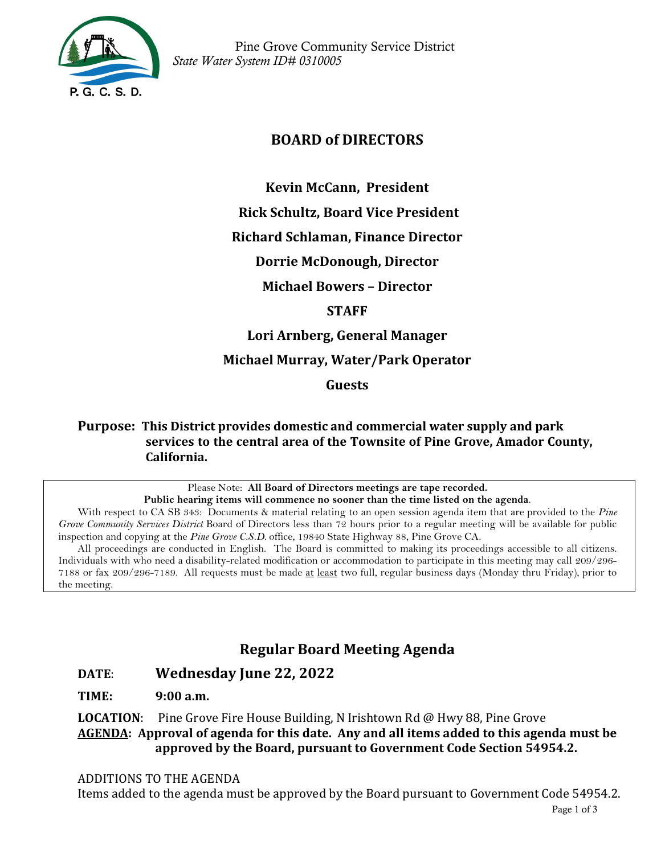

 Pine Grove Community Service District *State Water System ID# 0310005*

# **BOARD of DIRECTORS**

**Kevin McCann, President** 

**Rick Schultz, Board Vice President** 

**Richard Schlaman, Finance Director**

**Dorrie McDonough, Director**

**Michael Bowers – Director** 

**STAFF**

**Lori Arnberg, General Manager** 

**Michael Murray, Water/Park Operator**

**Guests**

**Purpose: This District provides domestic and commercial water supply and park services to the central area of the Townsite of Pine Grove, Amador County, California.**

> Please Note: **All Board of Directors meetings are tape recorded. Public hearing items will commence no sooner than the time listed on the agenda**.

With respect to CA SB 343: Documents & material relating to an open session agenda item that are provided to the *Pine Grove Community Services District* Board of Directors less than 72 hours prior to a regular meeting will be available for public inspection and copying at the *Pine Grove C.S.D.* office, 19840 State Highway 88, Pine Grove CA.

All proceedings are conducted in English. The Board is committed to making its proceedings accessible to all citizens. Individuals with who need a disability-related modification or accommodation to participate in this meeting may call 209/296- 7188 or fax 209/296-7189. All requests must be made at least two full, regular business days (Monday thru Friday), prior to the meeting.

# **Regular Board Meeting Agenda**

### **DATE**: **Wednesday June 22, 2022**

**TIME: 9:00 a.m.**

**LOCATION**: Pine Grove Fire House Building, N Irishtown Rd @ Hwy 88, Pine Grove **AGENDA: Approval of agenda for this date. Any and all items added to this agenda must be approved by the Board, pursuant to Government Code Section 54954.2.**

#### ADDITIONS TO THE AGENDA

Items added to the agenda must be approved by the Board pursuant to Government Code 54954.2.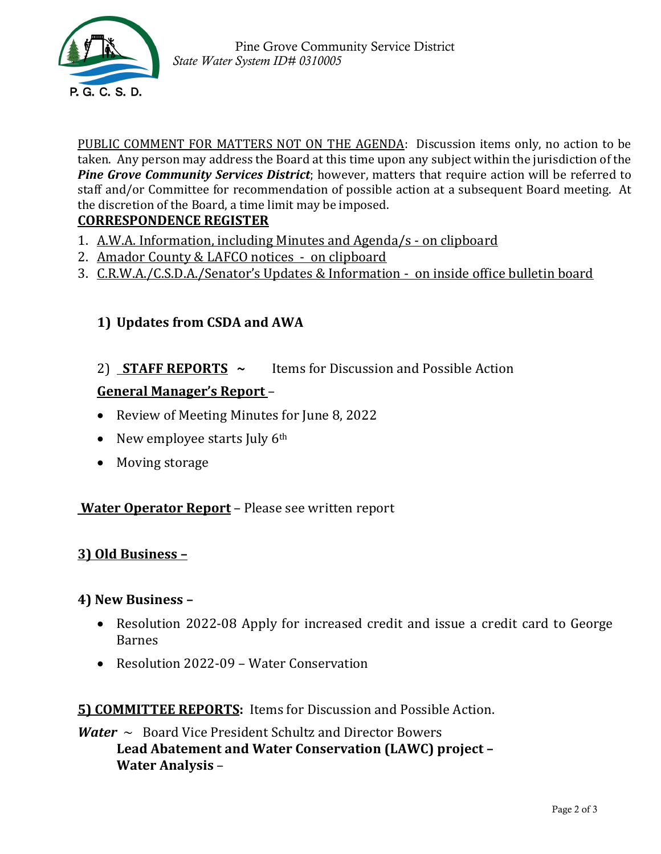

PUBLIC COMMENT FOR MATTERS NOT ON THE AGENDA: Discussion items only, no action to be taken. Any person may address the Board at this time upon any subject within the jurisdiction of the *Pine Grove Community Services District*; however, matters that require action will be referred to staff and/or Committee for recommendation of possible action at a subsequent Board meeting. At the discretion of the Board, a time limit may be imposed.

### **CORRESPONDENCE REGISTER**

- 1. A.W.A. Information, including Minutes and Agenda/s on clipboard
- 2. Amador County & LAFCO notices on clipboard
- 3. C.R.W.A./C.S.D.A./Senator's Updates & Information on inside office bulletin board

# **1) Updates from CSDA and AWA**

2) **STAFF REPORTS ~** Items for Discussion and Possible Action

### **General Manager's Report** –

- Review of Meeting Minutes for June 8, 2022
- New employee starts July  $6<sup>th</sup>$
- Moving storage

#### **Water Operator Report** – Please see written report

### **3) Old Business –**

#### **4) New Business –**

- Resolution 2022-08 Apply for increased credit and issue a credit card to George Barnes
- Resolution 2022-09 Water Conservation

#### **5) COMMITTEE REPORTS:** Items for Discussion and Possible Action.

*Water* ~ Board Vice President Schultz and Director Bowers **Lead Abatement and Water Conservation (LAWC) project – Water Analysis** –